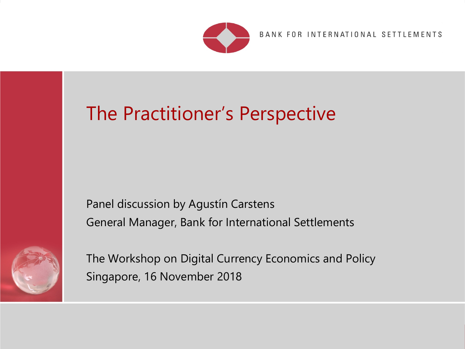

BANK FOR INTERNATIONAL SETTLEMENTS

# The Practitioner's Perspective

Panel discussion by Agustín Carstens General Manager, Bank for International Settlements



The Workshop on Digital Currency Economics and Policy Singapore, 16 November 2018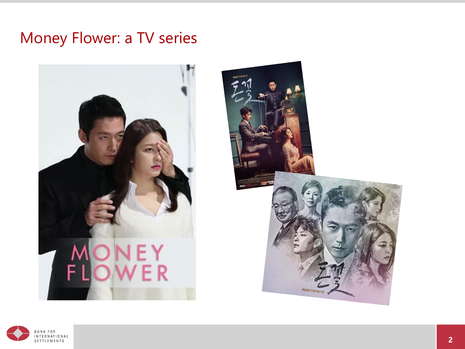### Money Flower: a TV series





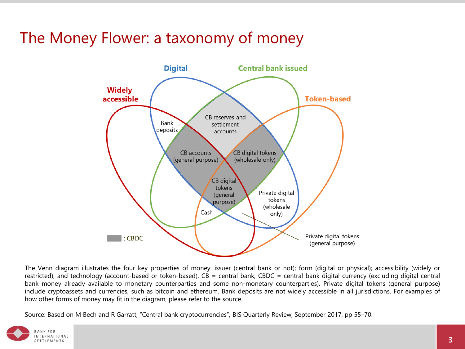## The Money Flower: a taxonomy of money



The Venn diagram illustrates the four key properties of money: issuer (central bank or not); form (digital or physical); accessibility (widely or restricted); and technology (account-based or token-based). CB = central bank; CBDC = central bank digital currency (excluding digital central bank money already available to monetary counterparties and some non-monetary counterparties). Private digital tokens (general purpose) include cryptoassets and currencies, such as bitcoin and ethereum. Bank deposits are not widely accessible in all jurisdictions. For examples of how other forms of money may fit in the diagram, please refer to the source.

Source: Based on M Bech and R Garratt, "Central bank cryptocurrencies", BIS Quarterly Review, September 2017, pp 55–70.

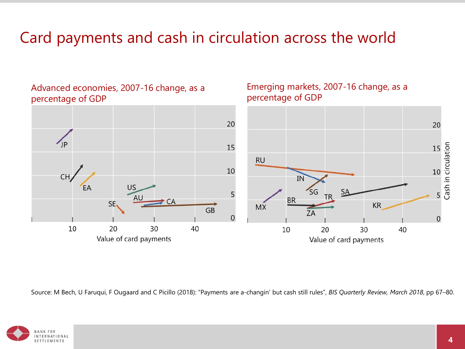# Card payments and cash in circulation across the world

percentage of GDP 20 20 Cash in circulation 15 15 **RU** 10 10 CH ΙN **US** FΑ 5 5 **TR BR** CA SE. **KR MX**  $GB$ ZA  $\overline{0}$  $\overline{0}$ 10 20 30 40 20 30 10 40 Value of card payments Value of card payments

Source: M Bech, U Faruqui, F Ougaard and C Picillo (2018): "Payments are a-changin' but cash still rules", *BIS Quarterly Review, March 2018*, pp 67–80.



Advanced economies, 2007-16 change, as a Emerging markets, 2007-16 change, as a percentage of GDP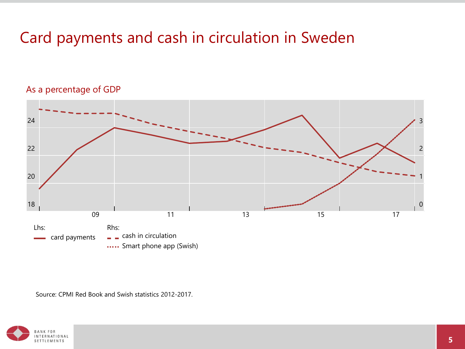# Card payments and cash in circulation in Sweden

#### As a percentage of GDP



Source: CPMI Red Book and Swish statistics 2012-2017.

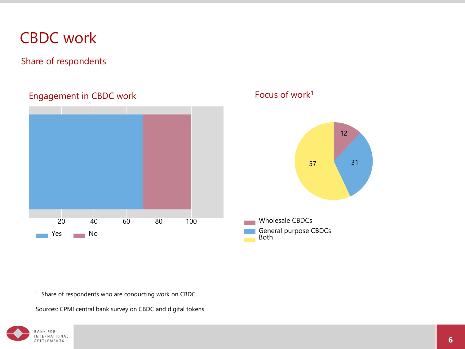### CBDC work

Share of respondents

### Engagement in CBDC work



Focus of work1



<sup>1</sup> Share of respondents who are conducting work on CBDC

Sources: CPMI central bank survey on CBDC and digital tokens.

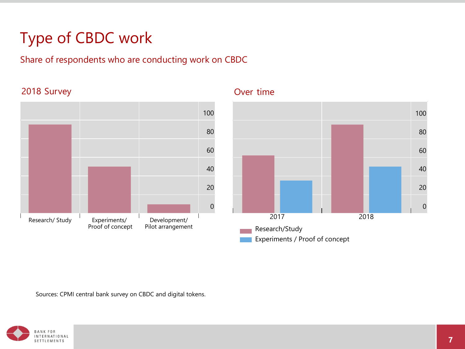# Type of CBDC work

#### Share of respondents who are conducting work on CBDC

#### 2018 Survey **Contract Survey Contract System Contract System Contract System Contract System**





Experiments / Proof of concept

Sources: CPMI central bank survey on CBDC and digital tokens.